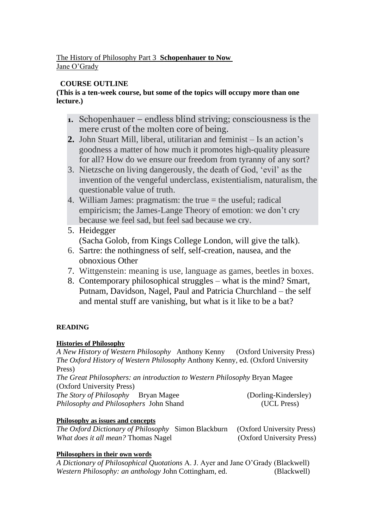#### The History of Philosophy Part 3 **Schopenhauer to Now** Jane O'Grady

## **COURSE OUTLINE**

## **(This is a ten-week course, but some of the topics will occupy more than one lecture.)**

- **1.** Schopenhauer endless blind striving; consciousness is the mere crust of the molten core of being.
- **2.** John Stuart Mill, liberal, utilitarian and feminist Is an action's goodness a matter of how much it promotes high-quality pleasure for all? How do we ensure our freedom from tyranny of any sort?
- 3. Nietzsche on living dangerously, the death of God, 'evil' as the invention of the vengeful underclass, existentialism, naturalism, the questionable value of truth.
- 4. William James: pragmatism: the true = the useful; radical empiricism; the James-Lange Theory of emotion: we don't cry because we feel sad, but feel sad because we cry.
- 5. Heidegger (Sacha Golob, from Kings College London, will give the talk).
- 6. Sartre: the nothingness of self, self-creation, nausea, and the obnoxious Other
- 7. Wittgenstein: meaning is use, language as games, beetles in boxes.
- 8. Contemporary philosophical struggles what is the mind? Smart, Putnam, Davidson, Nagel, Paul and Patricia Churchland – the self and mental stuff are vanishing, but what is it like to be a bat?

## **READING**

## **Histories of Philosophy**

*A New History of Western Philosophy* Anthony Kenny (Oxford University Press) *The Oxford History of Western Philosophy* Anthony Kenny, ed. (Oxford University Press) *The Great Philosophers: an introduction to Western Philosophy* Bryan Magee (Oxford University Press)

| <i>The Story of Philosophy</i> Bryan Magee    | (Dorling-Kindersley) |
|-----------------------------------------------|----------------------|
| <i>Philosophy and Philosophers John Shand</i> | (UCL Press)          |

## **Philosophy as issues and concepts**

*The Oxford Dictionary of Philosophy* Simon Blackburn(Oxford University Press) *What does it all mean?* Thomas Nagel (Oxford University Press)

## **Philosophers in their own words**

*A Dictionary of Philosophical Quotations* A. J. Ayer and Jane O'Grady (Blackwell) *Western Philosophy: an anthology* John Cottingham, ed. (Blackwell)